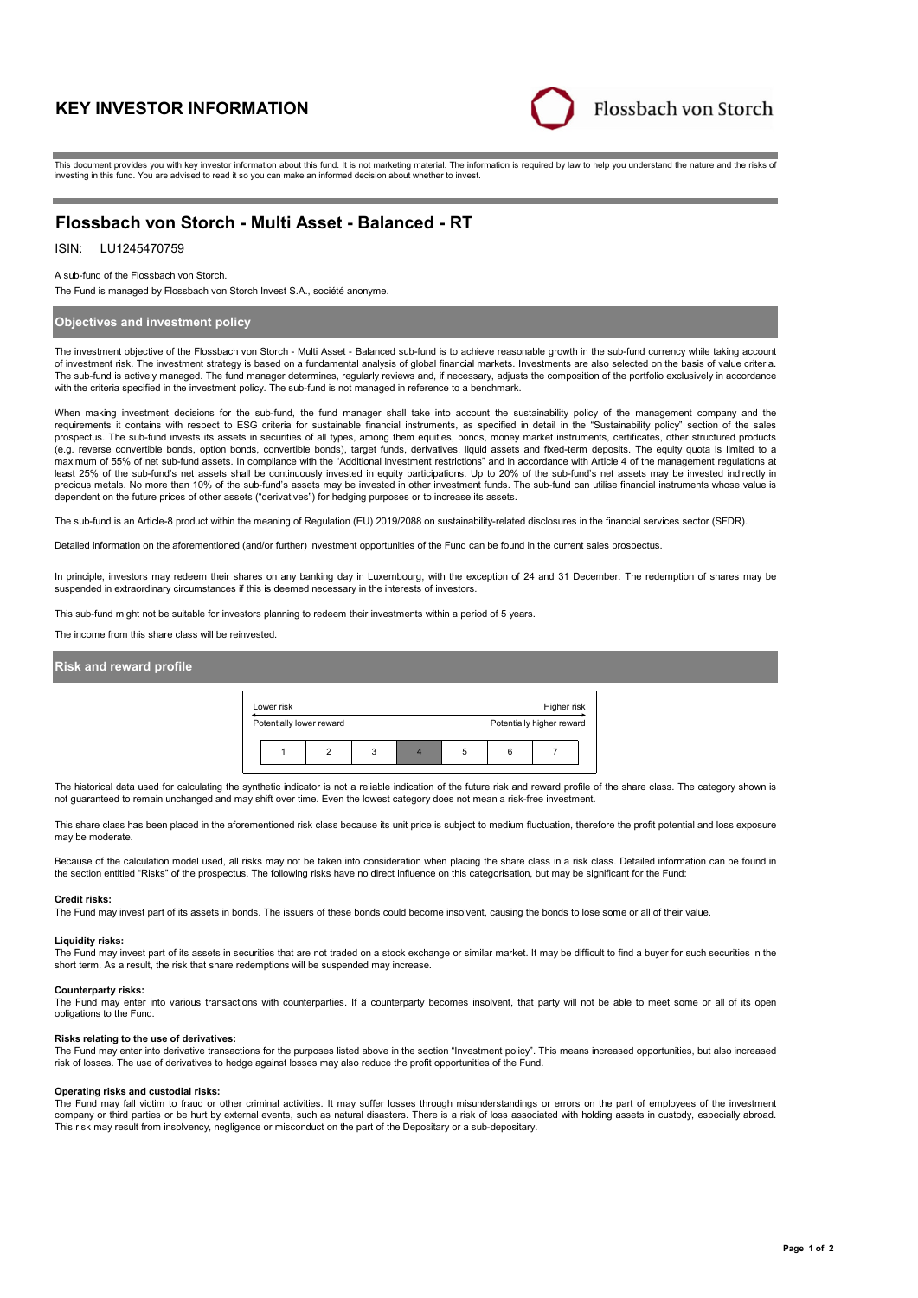# **KEY INVESTOR INFORMATION**



This document provides you with key investor information about this fund. It is not marketing material. The information is required by law to help you understand the nature and the risks of investing in this fund. You are advised to read it so you can make an informed decision about whether to invest.

# **Flossbach von Storch - Multi Asset - Balanced - RT**

# ISIN: LU1245470759

A sub-fund of the Flossbach von Storch.

The Fund is managed by Flossbach von Storch Invest S.A., société anonyme.

# **Objectives and investment policy**

The investment objective of the Flossbach von Storch - Multi Asset - Balanced sub-fund is to achieve reasonable growth in the sub-fund currency while taking account of investment risk. The investment strategy is based on a fundamental analysis of global financial markets. Investments are also selected on the basis of value criteria. The sub-fund is actively managed. The fund manager determines, regularly reviews and, if necessary, adjusts the composition of the portfolio exclusively in accordance with the criteria specified in the investment policy. The sub-fund is not managed in reference to a benchmark.

When making investment decisions for the sub-fund, the fund manager shall take into account the sustainability policy of the management company and the requirements it contains with respect to ESG criteria for sustainable financial instruments, as specified in detail in the "Sustainability policy" section of the sales prospectus. The sub-fund invests its assets in securities of all types, among them equities, bonds, money market instruments, certificates, other structured products (e.g. reverse convertible bonds, option bonds, convertible bonds), target funds, derivatives, liquid assets and fixed-term deposits. The equity quota is limited to a maximum of 55% of net sub-fund assets. In compliance with the "Additional investment restrictions" and in accordance with Article 4 of the management regulations at least 25% of the sub-fund's net assets shall be continuously invested in equity participations. Up to 20% of the sub-fund's net assets may be invested indirectly in<br>precious metals. No more than 10% of the sub-fund's asset dependent on the future prices of other assets ("derivatives") for hedging purposes or to increase its assets.

The sub-fund is an Article-8 product within the meaning of Regulation (EU) 2019/2088 on sustainability-related disclosures in the financial services sector (SFDR).

Detailed information on the aforementioned (and/or further) investment opportunities of the Fund can be found in the current sales prospectus.

In principle, investors may redeem their shares on any banking day in Luxembourg, with the exception of 24 and 31 December. The redemption of shares may be suspended in extraordinary circumstances if this is deemed necessary in the interests of investors.

This sub-fund might not be suitable for investors planning to redeem their investments within a period of 5 years.

The income from this share class will be reinvested.

# **Risk and reward profile**



The historical data used for calculating the synthetic indicator is not a reliable indication of the future risk and reward profile of the share class. The category shown is not guaranteed to remain unchanged and may shift over time. Even the lowest category does not mean a risk-free investment.

This share class has been placed in the aforementioned risk class because its unit price is subject to medium fluctuation, therefore the profit potential and loss exposure may be moderate.

Because of the calculation model used, all risks may not be taken into consideration when placing the share class in a risk class. Detailed information can be found in the section entitled "Risks" of the prospectus. The following risks have no direct influence on this categorisation, but may be significant for the Fund:

#### **Credit risks:**

The Fund may invest part of its assets in bonds. The issuers of these bonds could become insolvent, causing the bonds to lose some or all of their value.

#### **Liquidity risks:**

The Fund may invest part of its assets in securities that are not traded on a stock exchange or similar market. It may be difficult to find a buyer for such securities in the short term. As a result, the risk that share redemptions will be suspended may increase.

#### **Counterparty risks:**

The Fund may enter into various transactions with counterparties. If a counterparty becomes insolvent, that party will not be able to meet some or all of its open obligations to the Fund.

#### **Risks relating to the use of derivatives:**

The Fund may enter into derivative transactions for the purposes listed above in the section "Investment policy". This means increased opportunities, but also increased risk of losses. The use of derivatives to hedge against losses may also reduce the profit opportunities of the Fund.

## **Operating risks and custodial risks:**

The Fund may fall victim to fraud or other criminal activities. It may suffer losses through misunderstandings or errors on the part of employees of the investment company or third parties or be hurt by external events, such as natural disasters. There is a risk of loss associated with holding assets in custody, especially abroad. This risk may result from insolvency, negligence or misconduct on the part of the Depositary or a sub-depositary